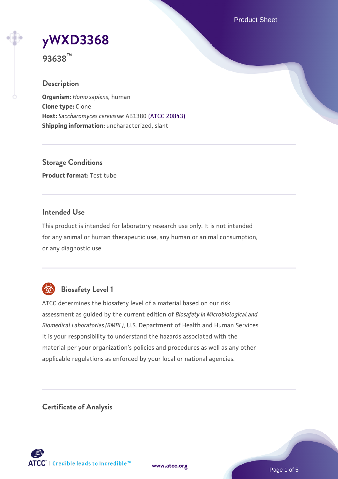Product Sheet

# **[yWXD3368](https://www.atcc.org/products/93638)**

**93638™**

# **Description**

**Organism:** *Homo sapiens*, human **Clone type:** Clone **Host:** *Saccharomyces cerevisiae* AB1380 [\(ATCC 20843\)](https://www.atcc.org/products/20843) **Shipping information:** uncharacterized, slant

**Storage Conditions Product format:** Test tube

# **Intended Use**

This product is intended for laboratory research use only. It is not intended for any animal or human therapeutic use, any human or animal consumption, or any diagnostic use.



# **Biosafety Level 1**

ATCC determines the biosafety level of a material based on our risk assessment as guided by the current edition of *Biosafety in Microbiological and Biomedical Laboratories (BMBL)*, U.S. Department of Health and Human Services. It is your responsibility to understand the hazards associated with the material per your organization's policies and procedures as well as any other applicable regulations as enforced by your local or national agencies.

**Certificate of Analysis**

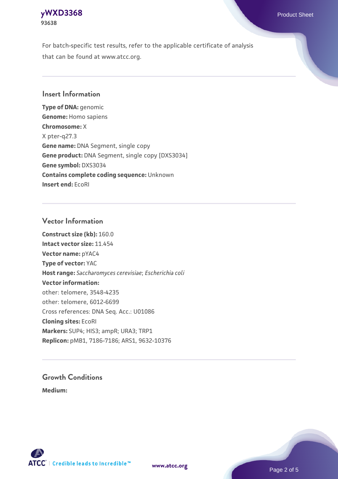# **[yWXD3368](https://www.atcc.org/products/93638)** Product Sheet **93638**

For batch-specific test results, refer to the applicable certificate of analysis that can be found at www.atcc.org.

# **Insert Information**

**Type of DNA:** genomic **Genome:** Homo sapiens **Chromosome:** X X pter-q27.3 **Gene name:** DNA Segment, single copy **Gene product:** DNA Segment, single copy [DXS3034] **Gene symbol:** DXS3034 **Contains complete coding sequence:** Unknown **Insert end:** EcoRI

## **Vector Information**

**Construct size (kb):** 160.0 **Intact vector size:** 11.454 **Vector name:** pYAC4 **Type of vector:** YAC **Host range:** *Saccharomyces cerevisiae*; *Escherichia coli* **Vector information:** other: telomere, 3548-4235 other: telomere, 6012-6699 Cross references: DNA Seq. Acc.: U01086 **Cloning sites:** EcoRI **Markers:** SUP4; HIS3; ampR; URA3; TRP1 **Replicon:** pMB1, 7186-7186; ARS1, 9632-10376

# **Growth Conditions**

**Medium:** 



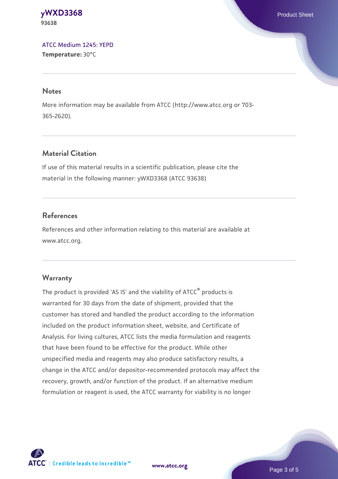#### **[yWXD3368](https://www.atcc.org/products/93638)** Product Sheet **93638**

[ATCC Medium 1245: YEPD](https://www.atcc.org/-/media/product-assets/documents/microbial-media-formulations/1/2/4/5/atcc-medium-1245.pdf?rev=705ca55d1b6f490a808a965d5c072196) **Temperature:** 30°C

#### **Notes**

More information may be available from ATCC (http://www.atcc.org or 703- 365-2620).

# **Material Citation**

If use of this material results in a scientific publication, please cite the material in the following manner: yWXD3368 (ATCC 93638)

# **References**

References and other information relating to this material are available at www.atcc.org.

# **Warranty**

The product is provided 'AS IS' and the viability of ATCC® products is warranted for 30 days from the date of shipment, provided that the customer has stored and handled the product according to the information included on the product information sheet, website, and Certificate of Analysis. For living cultures, ATCC lists the media formulation and reagents that have been found to be effective for the product. While other unspecified media and reagents may also produce satisfactory results, a change in the ATCC and/or depositor-recommended protocols may affect the recovery, growth, and/or function of the product. If an alternative medium formulation or reagent is used, the ATCC warranty for viability is no longer



**[www.atcc.org](http://www.atcc.org)**

Page 3 of 5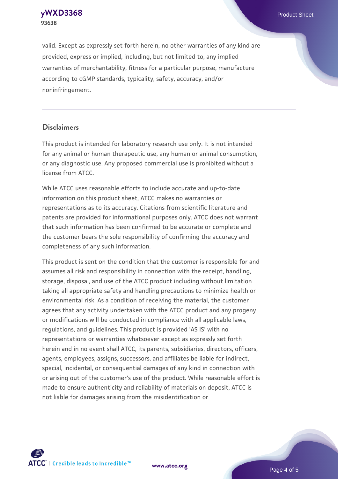**[yWXD3368](https://www.atcc.org/products/93638)** Product Sheet **93638**

valid. Except as expressly set forth herein, no other warranties of any kind are provided, express or implied, including, but not limited to, any implied warranties of merchantability, fitness for a particular purpose, manufacture according to cGMP standards, typicality, safety, accuracy, and/or noninfringement.

#### **Disclaimers**

This product is intended for laboratory research use only. It is not intended for any animal or human therapeutic use, any human or animal consumption, or any diagnostic use. Any proposed commercial use is prohibited without a license from ATCC.

While ATCC uses reasonable efforts to include accurate and up-to-date information on this product sheet, ATCC makes no warranties or representations as to its accuracy. Citations from scientific literature and patents are provided for informational purposes only. ATCC does not warrant that such information has been confirmed to be accurate or complete and the customer bears the sole responsibility of confirming the accuracy and completeness of any such information.

This product is sent on the condition that the customer is responsible for and assumes all risk and responsibility in connection with the receipt, handling, storage, disposal, and use of the ATCC product including without limitation taking all appropriate safety and handling precautions to minimize health or environmental risk. As a condition of receiving the material, the customer agrees that any activity undertaken with the ATCC product and any progeny or modifications will be conducted in compliance with all applicable laws, regulations, and guidelines. This product is provided 'AS IS' with no representations or warranties whatsoever except as expressly set forth herein and in no event shall ATCC, its parents, subsidiaries, directors, officers, agents, employees, assigns, successors, and affiliates be liable for indirect, special, incidental, or consequential damages of any kind in connection with or arising out of the customer's use of the product. While reasonable effort is made to ensure authenticity and reliability of materials on deposit, ATCC is not liable for damages arising from the misidentification or



**[www.atcc.org](http://www.atcc.org)**

Page 4 of 5